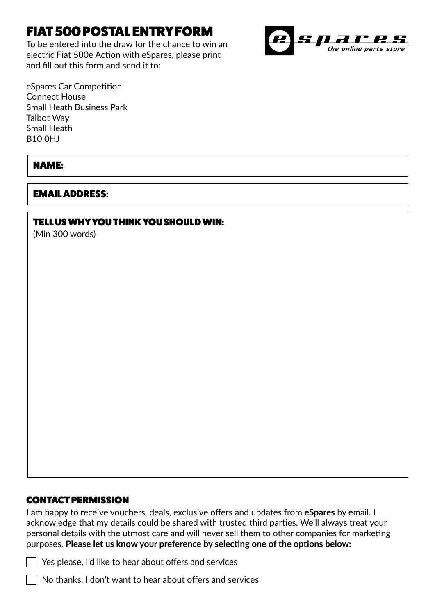# FIAT 500 POSTAL ENTRY FORM

To be entered into the draw for the chance to win an electric Fiat 500e Action with eSpares, please print and fill out this form and send it to:



eSpares Car Competition Connect House Small Heath Business Park Talbot Way Small Heath B10 0HJ

## NAME:

### EMAIL ADDRESS:

### TELL US WHY YOU THINK YOU SHOULD WIN:

(Min 300 words)

#### CONTACT PERMISSION

I am happy to receive vouchers, deals, exclusive offers and updates from **eSpares** by email. I acknowledge that my details could be shared with trusted third parties. We'll always treat your personal details with the utmost care and will never sell them to other companies for marketing purposes. **Please let us know your preference by selecting one of the options below:**



 $\overline{\phantom{a}}$  No thanks, I don't want to hear about offers and services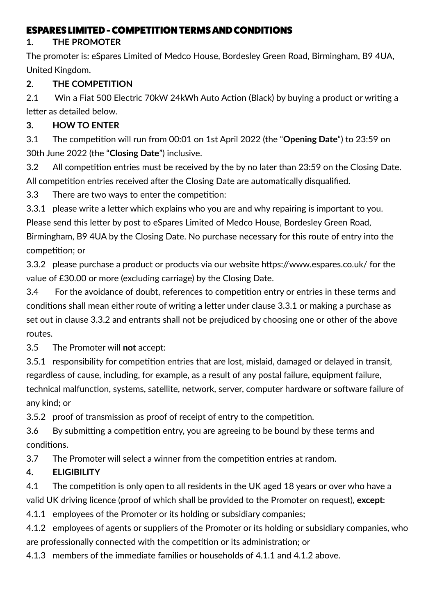## ESPARES LIMITED - COMPETITION TERMS AND CONDITIONS

### **1. THE PROMOTER**

The promoter is: eSpares Limited of Medco House, Bordesley Green Road, Birmingham, B9 4UA, United Kingdom.

## **2. THE COMPETITION**

2.1 Win a Fiat 500 Electric 70kW 24kWh Auto Action (Black) by buying a product or writing a letter as detailed below.

## **3. HOW TO ENTER**

3.1 The competition will run from 00:01 on 1st April 2022 (the "**Opening Date**") to 23:59 on 30th June 2022 (the "**Closing Date**") inclusive.

3.2 All competition entries must be received by the by no later than 23:59 on the Closing Date. All competition entries received after the Closing Date are automatically disqualified.

3.3 There are two ways to enter the competition:

3.3.1 please write a letter which explains who you are and why repairing is important to you. Please send this letter by post to eSpares Limited of Medco House, Bordesley Green Road, Birmingham, B9 4UA by the Closing Date. No purchase necessary for this route of entry into the competition; or

3.3.2 please purchase a product or products via our website https://www.espares.co.uk/ for the value of £30.00 or more (excluding carriage) by the Closing Date.

3.4 For the avoidance of doubt, references to competition entry or entries in these terms and conditions shall mean either route of writing a letter under clause 3.3.1 or making a purchase as set out in clause 3.3.2 and entrants shall not be prejudiced by choosing one or other of the above routes.

3.5 The Promoter will **not** accept:

3.5.1 responsibility for competition entries that are lost, mislaid, damaged or delayed in transit, regardless of cause, including, for example, as a result of any postal failure, equipment failure, technical malfunction, systems, satellite, network, server, computer hardware or software failure of any kind; or

3.5.2 proof of transmission as proof of receipt of entry to the competition.

3.6 By submitting a competition entry, you are agreeing to be bound by these terms and conditions.

3.7 The Promoter will select a winner from the competition entries at random.

# **4. ELIGIBILITY**

4.1 The competition is only open to all residents in the UK aged 18 years or over who have a valid UK driving licence (proof of which shall be provided to the Promoter on request), **except**:

4.1.1 employees of the Promoter or its holding or subsidiary companies;

4.1.2 employees of agents or suppliers of the Promoter or its holding or subsidiary companies, who are professionally connected with the competition or its administration; or

4.1.3 members of the immediate families or households of 4.1.1 and 4.1.2 above.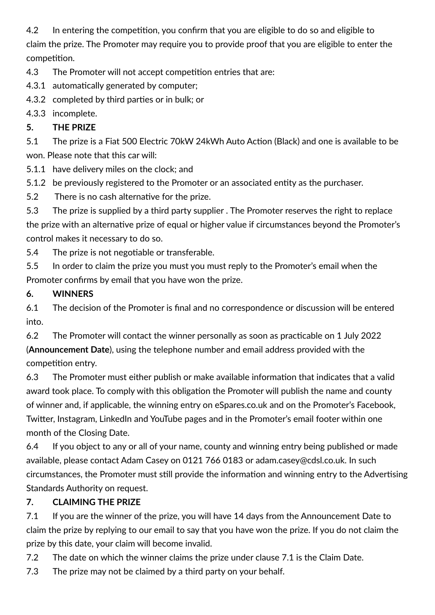4.2 In entering the competition, you confirm that you are eligible to do so and eligible to claim the prize. The Promoter may require you to provide proof that you are eligible to enter the competition.

4.3 The Promoter will not accept competition entries that are:

- 4.3.1 automatically generated by computer;
- 4.3.2 completed by third parties or in bulk; or

4.3.3 incomplete.

# **5. THE PRIZE**

5.1 The prize is a Fiat 500 Electric 70kW 24kWh Auto Action (Black) and one is available to be won. Please note that this car will:

- 5.1.1 have delivery miles on the clock; and
- 5.1.2 be previously registered to the Promoter or an associated entity as the purchaser.
- 5.2 There is no cash alternative for the prize.

5.3 The prize is supplied by a third party supplier . The Promoter reserves the right to replace the prize with an alternative prize of equal or higher value if circumstances beyond the Promoter's control makes it necessary to do so.

5.4 The prize is not negotiable or transferable.

5.5 In order to claim the prize you must you must reply to the Promoter's email when the Promoter confirms by email that you have won the prize.

# **6. WINNERS**

6.1 The decision of the Promoter is final and no correspondence or discussion will be entered into.

6.2 The Promoter will contact the winner personally as soon as practicable on 1 July 2022 (**Announcement Date**), using the telephone number and email address provided with the competition entry.

6.3 The Promoter must either publish or make available information that indicates that a valid award took place. To comply with this obligation the Promoter will publish the name and county of winner and, if applicable, the winning entry on eSpares.co.uk and on the Promoter's Facebook, Twitter, Instagram, LinkedIn and YouTube pages and in the Promoter's email footer within one month of the Closing Date.

6.4 If you object to any or all of your name, county and winning entry being published or made available, please contact Adam Casey on 0121 766 0183 or adam.casey@cdsl.co.uk. In such circumstances, the Promoter must still provide the information and winning entry to the Advertising Standards Authority on request.

# **7. CLAIMING THE PRIZE**

7.1 If you are the winner of the prize, you will have 14 days from the Announcement Date to claim the prize by replying to our email to say that you have won the prize. If you do not claim the prize by this date, your claim will become invalid.

7.2 The date on which the winner claims the prize under clause 7.1 is the Claim Date.

7.3 The prize may not be claimed by a third party on your behalf.